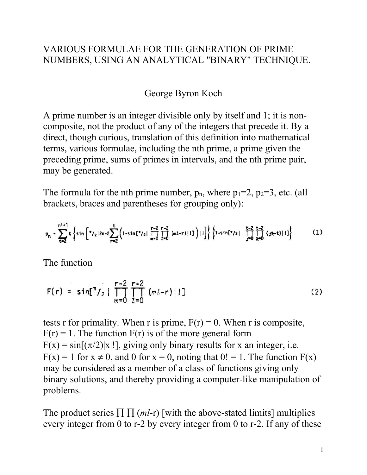## VARIOUS FORMULAE FOR THE GENERATION OF PRIME NUMBERS, USING AN ANALYTICAL "BINARY" TECHNIQUE.

## George Byron Koch

A prime number is an integer divisible only by itself and 1; it is noncomposite, not the product of any of the integers that precede it. By a direct, though curious, translation of this definition into mathematical terms, various formulae, including the nth prime, a prime given the preceding prime, sums of primes in intervals, and the nth prime pair, may be generated.

The formula for the nth prime number,  $p_n$ , where  $p_1=2$ ,  $p_2=3$ , etc. (all brackets, braces and parentheses for grouping only):

$$
p_n = \sum_{t=2}^{n^2+1} t \left\{ \sin \left[ \frac{\pi}{2} |2n-2 \sum_{r=2}^t \left( 1 - \sin \left[ \frac{\pi}{2} \right] \prod_{m=0}^{r-2} \prod_{l=0}^{r-2} (m^2 - r) \right] |1] \right\} \left\{ \frac{t-2}{1 - \sin \left[ \frac{\pi}{2} \right]} \prod_{j=0}^{t-2} \prod_{k=0}^{r-2} (jk - t) |1] \right\} \tag{1}
$$

The function

$$
F(r) = \sin[\frac{\pi}{2} \mid \prod_{m=0}^{r-2} \prod_{l=0}^{r-2} (m_l - r) \mid !]
$$
 (2)

tests r for primality. When r is prime,  $F(r) = 0$ . When r is composite,  $F(r) = 1$ . The function  $F(r)$  is of the more general form  $F(x) = \sin[(\pi/2)|x|!]$ , giving only binary results for x an integer, i.e.  $F(x) = 1$  for  $x \ne 0$ , and 0 for  $x = 0$ , noting that  $0! = 1$ . The function  $F(x)$ may be considered as a member of a class of functions giving only binary solutions, and thereby providing a computer-like manipulation of problems.

The product series  $\prod \prod (ml-r)$  [with the above-stated limits] multiplies every integer from 0 to r-2 by every integer from 0 to r-2. If any of these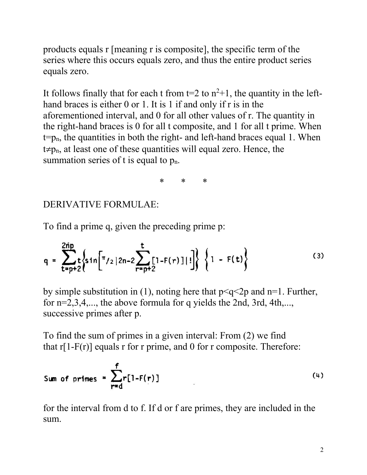products equals r [meaning r is composite], the specific term of the series where this occurs equals zero, and thus the entire product series equals zero.

It follows finally that for each t from  $t=2$  to  $n^2+1$ , the quantity in the lefthand braces is either 0 or 1. It is 1 if and only if r is in the aforementioned interval, and 0 for all other values of r. The quantity in the right-hand braces is 0 for all t composite, and 1 for all t prime. When  $t=p_n$ , the quantities in both the right- and left-hand braces equal 1. When  $t \neq p_n$ , at least one of these quantities will equal zero. Hence, the summation series of  $t$  is equal to  $p_n$ .

\* \* \*

## DERIVATIVE FORMULAE:

To find a prime q, given the preceding prime p:

$$
q = \sum_{t=p+2}^{2\hat{p}} t \left\{ \sin \left[ \pi_{/2} | 2n-2 \sum_{r=p+2}^{t} [1 - F(r)] | 1 \right] \right\} \left\{ 1 - F(t) \right\}
$$
 (3)

by simple substitution in (1), noting here that  $p < q < 2p$  and n=1. Further, for n=2,3,4,..., the above formula for q yields the 2nd, 3rd, 4th,..., successive primes after p.

To find the sum of primes in a given interval: From (2) we find that  $r[1-F(r)]$  equals r for r prime, and 0 for r composite. Therefore:

Sum of primes = 
$$
\sum_{r=d}^{f} r[1 - F(r)]
$$
 (4)

for the interval from d to f. If d or f are primes, they are included in the sum.